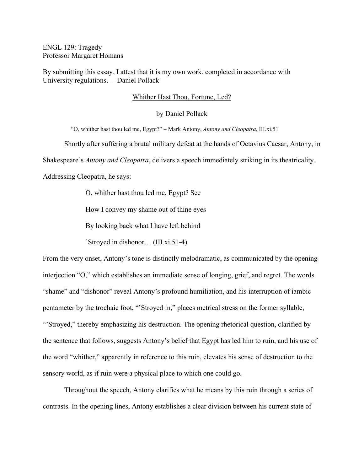ENGL 129: Tragedy Professor Margaret Homans

By submitting this essay, I attest that it is my own work, completed in accordance with University regulations. —Daniel Pollack

## Whither Hast Thou, Fortune, Led?

by Daniel Pollack

"O, whither hast thou led me, Egypt?" – Mark Antony, *Antony and Cleopatra*, III.xi.51

Shortly after suffering a brutal military defeat at the hands of Octavius Caesar, Antony, in

Shakespeare's *Antony and Cleopatra*, delivers a speech immediately striking in its theatricality.

Addressing Cleopatra, he says:

O, whither hast thou led me, Egypt? See

How I convey my shame out of thine eyes

By looking back what I have left behind

'Stroyed in dishonor… (III.xi.51-4)

From the very onset, Antony's tone is distinctly melodramatic, as communicated by the opening interjection "O," which establishes an immediate sense of longing, grief, and regret. The words "shame" and "dishonor" reveal Antony's profound humiliation, and his interruption of iambic pentameter by the trochaic foot, "'Stroyed in," places metrical stress on the former syllable, "Stroyed," thereby emphasizing his destruction. The opening rhetorical question, clarified by the sentence that follows, suggests Antony's belief that Egypt has led him to ruin, and his use of the word "whither," apparently in reference to this ruin, elevates his sense of destruction to the sensory world, as if ruin were a physical place to which one could go.

Throughout the speech, Antony clarifies what he means by this ruin through a series of contrasts. In the opening lines, Antony establishes a clear division between his current state of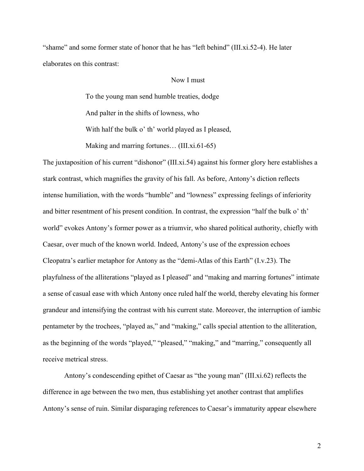"shame" and some former state of honor that he has "left behind" (III.xi.52-4). He later elaborates on this contrast:

## Now I must

To the young man send humble treaties, dodge And palter in the shifts of lowness, who With half the bulk o' th' world played as I pleased, Making and marring fortunes... (III.xi.61-65)

The juxtaposition of his current "dishonor" (III.xi.54) against his former glory here establishes a stark contrast, which magnifies the gravity of his fall. As before, Antony's diction reflects intense humiliation, with the words "humble" and "lowness" expressing feelings of inferiority and bitter resentment of his present condition. In contrast, the expression "half the bulk o' th' world" evokes Antony's former power as a triumvir, who shared political authority, chiefly with Caesar, over much of the known world. Indeed, Antony's use of the expression echoes Cleopatra's earlier metaphor for Antony as the "demi-Atlas of this Earth" (I.v.23). The playfulness of the alliterations "played as I pleased" and "making and marring fortunes" intimate a sense of casual ease with which Antony once ruled half the world, thereby elevating his former grandeur and intensifying the contrast with his current state. Moreover, the interruption of iambic pentameter by the trochees, "played as," and "making," calls special attention to the alliteration, as the beginning of the words "played," "pleased," "making," and "marring," consequently all receive metrical stress.

Antony's condescending epithet of Caesar as "the young man" (III.xi.62) reflects the difference in age between the two men, thus establishing yet another contrast that amplifies Antony's sense of ruin. Similar disparaging references to Caesar's immaturity appear elsewhere

2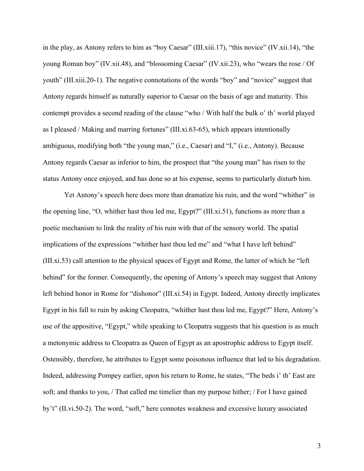in the play, as Antony refers to him as "boy Caesar" (III.xiii.17), "this novice" (IV.xii.14), "the young Roman boy" (IV.xii.48), and "blossoming Caesar" (IV.xii.23), who "wears the rose / Of youth" (III.xiii.20-1). The negative connotations of the words "boy" and "novice" suggest that Antony regards himself as naturally superior to Caesar on the basis of age and maturity. This contempt provides a second reading of the clause "who / With half the bulk o' th' world played as I pleased / Making and marring fortunes" (III.xi.63-65), which appears intentionally ambiguous, modifying both "the young man," (i.e., Caesar) and "I," (i.e., Antony). Because Antony regards Caesar as inferior to him, the prospect that "the young man" has risen to the status Antony once enjoyed, and has done so at his expense, seems to particularly disturb him.

Yet Antony's speech here does more than dramatize his ruin, and the word "whither" in the opening line, "O, whither hast thou led me, Egypt?" (III.xi.51), functions as more than a poetic mechanism to link the reality of his ruin with that of the sensory world. The spatial implications of the expressions "whither hast thou led me" and "what I have left behind" (III.xi.53) call attention to the physical spaces of Egypt and Rome, the latter of which he "left behind" for the former. Consequently, the opening of Antony's speech may suggest that Antony left behind honor in Rome for "dishonor" (III.xi.54) in Egypt. Indeed, Antony directly implicates Egypt in his fall to ruin by asking Cleopatra, "whither hast thou led me, Egypt?" Here, Antony's use of the appositive, "Egypt," while speaking to Cleopatra suggests that his question is as much a metonymic address to Cleopatra as Queen of Egypt as an apostrophic address to Egypt itself. Ostensibly, therefore, he attributes to Egypt some poisonous influence that led to his degradation. Indeed, addressing Pompey earlier, upon his return to Rome, he states, "The beds i' th' East are soft; and thanks to you, / That called me timelier than my purpose hither; / For I have gained by't" (II.vi.50-2). The word, "soft," here connotes weakness and excessive luxury associated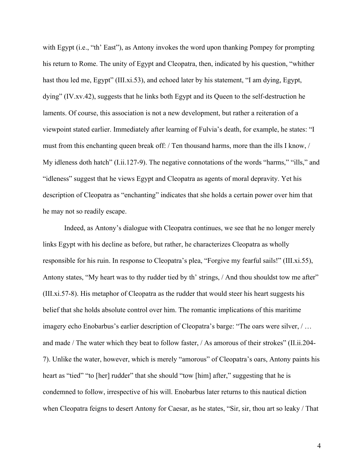with Egypt (i.e., "th' East"), as Antony invokes the word upon thanking Pompey for prompting his return to Rome. The unity of Egypt and Cleopatra, then, indicated by his question, "whither hast thou led me, Egypt" (III.xi.53), and echoed later by his statement, "I am dying, Egypt, dying" (IV.xv.42), suggests that he links both Egypt and its Queen to the self-destruction he laments. Of course, this association is not a new development, but rather a reiteration of a viewpoint stated earlier. Immediately after learning of Fulvia's death, for example, he states: "I must from this enchanting queen break off: / Ten thousand harms, more than the ills I know, / My idleness doth hatch" (I.ii.127-9). The negative connotations of the words "harms," "ills," and "idleness" suggest that he views Egypt and Cleopatra as agents of moral depravity. Yet his description of Cleopatra as "enchanting" indicates that she holds a certain power over him that he may not so readily escape.

Indeed, as Antony's dialogue with Cleopatra continues, we see that he no longer merely links Egypt with his decline as before, but rather, he characterizes Cleopatra as wholly responsible for his ruin. In response to Cleopatra's plea, "Forgive my fearful sails!" (III.xi.55), Antony states, "My heart was to thy rudder tied by th' strings, / And thou shouldst tow me after" (III.xi.57-8). His metaphor of Cleopatra as the rudder that would steer his heart suggests his belief that she holds absolute control over him. The romantic implications of this maritime imagery echo Enobarbus's earlier description of Cleopatra's barge: "The oars were silver, / … and made / The water which they beat to follow faster, / As amorous of their strokes" (II.ii.204- 7). Unlike the water, however, which is merely "amorous" of Cleopatra's oars, Antony paints his heart as "tied" "to [her] rudder" that she should "tow [him] after," suggesting that he is condemned to follow, irrespective of his will. Enobarbus later returns to this nautical diction when Cleopatra feigns to desert Antony for Caesar, as he states, "Sir, sir, thou art so leaky / That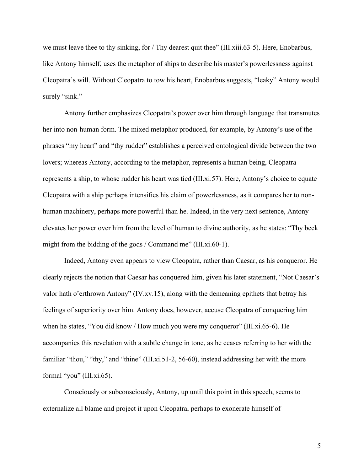we must leave thee to thy sinking, for / Thy dearest quit thee" (III.xiii.63-5). Here, Enobarbus, like Antony himself, uses the metaphor of ships to describe his master's powerlessness against Cleopatra's will. Without Cleopatra to tow his heart, Enobarbus suggests, "leaky" Antony would surely "sink."

Antony further emphasizes Cleopatra's power over him through language that transmutes her into non-human form. The mixed metaphor produced, for example, by Antony's use of the phrases "my heart" and "thy rudder" establishes a perceived ontological divide between the two lovers; whereas Antony, according to the metaphor, represents a human being, Cleopatra represents a ship, to whose rudder his heart was tied (III.xi.57). Here, Antony's choice to equate Cleopatra with a ship perhaps intensifies his claim of powerlessness, as it compares her to nonhuman machinery, perhaps more powerful than he. Indeed, in the very next sentence, Antony elevates her power over him from the level of human to divine authority, as he states: "Thy beck might from the bidding of the gods / Command me" (III.xi.60-1).

Indeed, Antony even appears to view Cleopatra, rather than Caesar, as his conqueror. He clearly rejects the notion that Caesar has conquered him, given his later statement, "Not Caesar's valor hath o'erthrown Antony" (IV.xv.15), along with the demeaning epithets that betray his feelings of superiority over him. Antony does, however, accuse Cleopatra of conquering him when he states, "You did know / How much you were my conqueror" (III.xi.65-6). He accompanies this revelation with a subtle change in tone, as he ceases referring to her with the familiar "thou," "thy," and "thine" (III.xi.51-2, 56-60), instead addressing her with the more formal "you" (III.xi.65).

Consciously or subconsciously, Antony, up until this point in this speech, seems to externalize all blame and project it upon Cleopatra, perhaps to exonerate himself of

5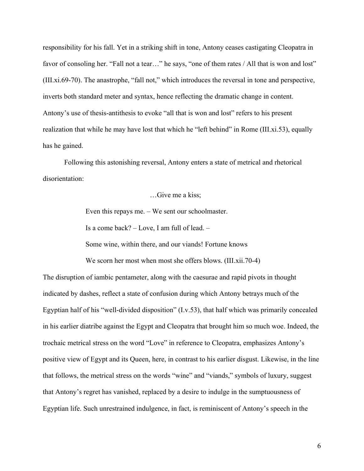responsibility for his fall. Yet in a striking shift in tone, Antony ceases castigating Cleopatra in favor of consoling her. "Fall not a tear..." he says, "one of them rates / All that is won and lost" (III.xi.69-70). The anastrophe, "fall not," which introduces the reversal in tone and perspective, inverts both standard meter and syntax, hence reflecting the dramatic change in content. Antony's use of thesis-antithesis to evoke "all that is won and lost" refers to his present realization that while he may have lost that which he "left behind" in Rome (III.xi.53), equally has he gained.

Following this astonishing reversal, Antony enters a state of metrical and rhetorical disorientation:

…Give me a kiss;

Even this repays me. – We sent our schoolmaster.

Is a come back? – Love, I am full of lead. –

Some wine, within there, and our viands! Fortune knows

We scorn her most when most she offers blows. (III.xii.70-4)

The disruption of iambic pentameter, along with the caesurae and rapid pivots in thought indicated by dashes, reflect a state of confusion during which Antony betrays much of the Egyptian half of his "well-divided disposition" (I.v.53), that half which was primarily concealed in his earlier diatribe against the Egypt and Cleopatra that brought him so much woe. Indeed, the trochaic metrical stress on the word "Love" in reference to Cleopatra, emphasizes Antony's positive view of Egypt and its Queen, here, in contrast to his earlier disgust. Likewise, in the line that follows, the metrical stress on the words "wine" and "viands," symbols of luxury, suggest that Antony's regret has vanished, replaced by a desire to indulge in the sumptuousness of Egyptian life. Such unrestrained indulgence, in fact, is reminiscent of Antony's speech in the